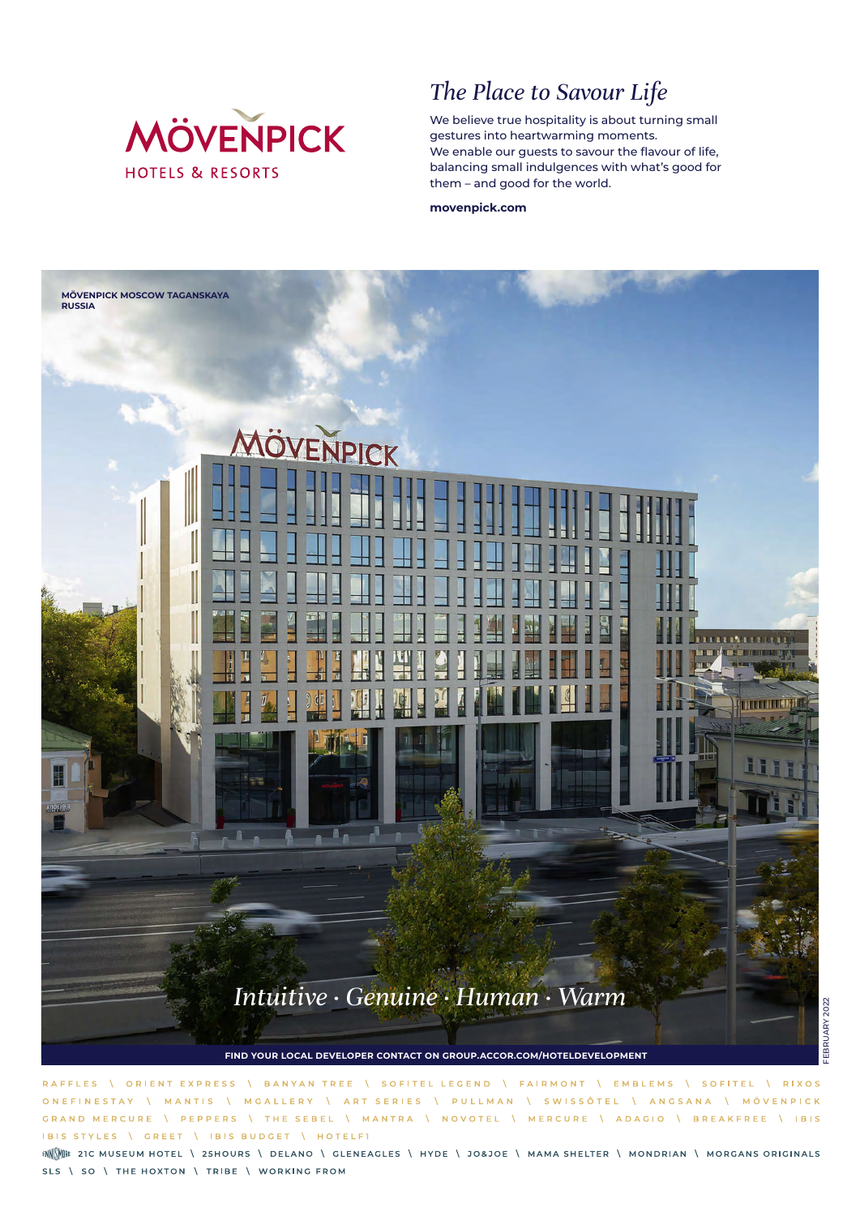

# *The Place to Savour Life*

We believe true hospitality is about turning small gestures into heartwarming moments. We enable our guests to savour the flavour of life, balancing small indulgences with what's good for them – and good for the world.

**movenpick.com**



ORIENT EXPRESS \ SOFITEL LEGEND \ FAIRMONT \ EMBLEMS \ SOFITEL **RIXOS** RAFFLES BANYAN TREE **ONFFINESTAY** \ ART SERIES \ PULLMAN \ SWISSOTEL \ ANGSANA \ MÖVENPICK MANTIS **MCALLERY**  $\Lambda$  $\Lambda$ GRAND MERCURE **PEPPERS** THE SEBEL MANTRA \ NOVOTEL \ MERCURE \ ADAGIO \ BREAKFREE \ IBIS  $\Lambda$  $\Delta$ IBIS STYLES \ GREET | IBIS BUDGET | HOTELFI

ENNINE 21C MUSEUM HOTEL \ 25HOURS \ DELANO \ GLENEAGLES \ HYDE \ JO&JOE \ MAMA SHELTER \ MONDRIAN \ MORGANS ORIGINALS SLS \ SO \ THE HOXTON \ TRIBE \ WORKING FROM